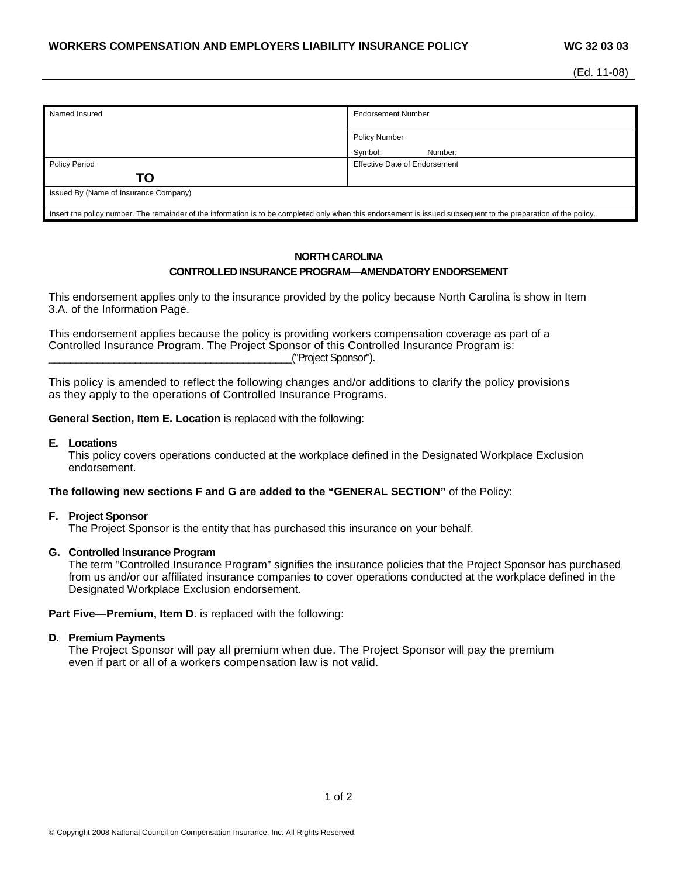| Named Insured                                                                                                                                                   | <b>Endorsement Number</b>            |
|-----------------------------------------------------------------------------------------------------------------------------------------------------------------|--------------------------------------|
|                                                                                                                                                                 |                                      |
|                                                                                                                                                                 |                                      |
|                                                                                                                                                                 | <b>Policy Number</b>                 |
|                                                                                                                                                                 | Symbol:<br>Number:                   |
| <b>Policy Period</b>                                                                                                                                            | <b>Effective Date of Endorsement</b> |
| ΤO                                                                                                                                                              |                                      |
| Issued By (Name of Insurance Company)                                                                                                                           |                                      |
|                                                                                                                                                                 |                                      |
| Insert the policy number. The remainder of the information is to be completed only when this endorsement is issued subsequent to the preparation of the policy. |                                      |

# **NORTH CAROLINA CONTROLLED INSURANCE PROGRAM—AMENDATORY ENDORSEMENT**

This endorsement applies only to the insurance provided by the policy because North Carolina is show in Item 3.A. of the Information Page.

This endorsement applies because the policy is providing workers compensation coverage as part of a Controlled Insurance Program. The Project Sponsor of this Controlled Insurance Program is: \_\_\_\_\_\_\_\_\_\_\_\_\_\_\_\_\_\_\_\_\_\_\_\_\_\_\_\_\_\_\_\_\_\_\_\_\_\_\_\_\_\_\_\_\_("Project Sponsor").

This policy is amended to reflect the following changes and/or additions to clarify the policy provisions as they apply to the operations of Controlled Insurance Programs.

**General Section, Item E. Location** is replaced with the following:

### **E. Locations**

This policy covers operations conducted at the workplace defined in the Designated Workplace Exclusion endorsement.

### **The following new sections F and G are added to the "GENERAL SECTION"** of the Policy:

### **F. Project Sponsor**

The Project Sponsor is the entity that has purchased this insurance on your behalf.

#### **G. Controlled Insurance Program**

The term "Controlled Insurance Program" signifies the insurance policies that the Project Sponsor has purchased from us and/or our affiliated insurance companies to cover operations conducted at the workplace defined in the Designated Workplace Exclusion endorsement.

**Part Five—Premium, Item D.** is replaced with the following:

### **D. Premium Payments**

The Project Sponsor will pay all premium when due. The Project Sponsor will pay the premium even if part or all of a workers compensation law is not valid.